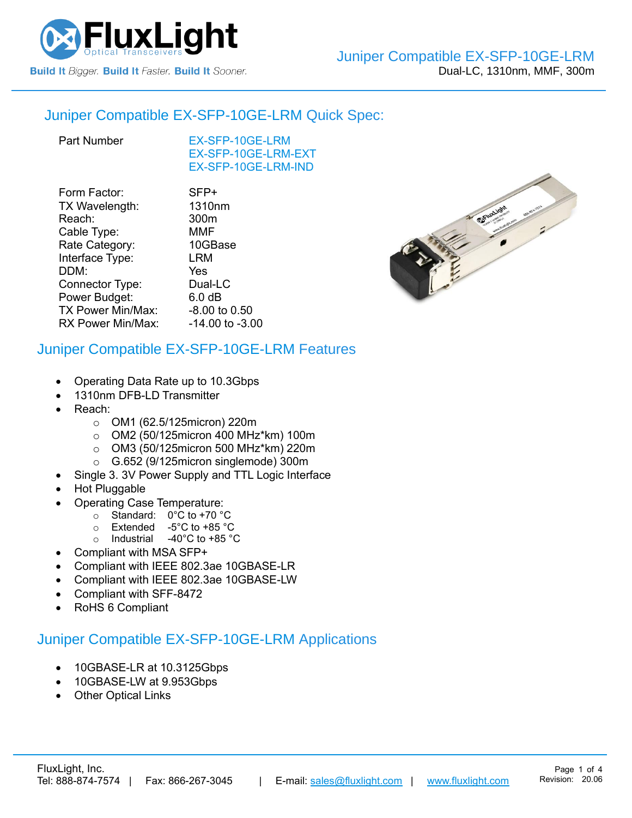

### Juniper Compatible [EX-SFP-10GE-LRM](https://www.fluxlight.com/ex-sfp-10ge-lrm/) Quick Spec:

[EX-SFP-10GE-LRM](https://www.fluxlight.com/ex-sfp-10ge-lrm/) [EX-SFP-10GE-LRM-](https://www.fluxlight.com/ex-sfp-10ge-lrm/)EXT [EX-SFP-10GE-LRM-](https://www.fluxlight.com/ex-sfp-10ge-lrm/)IND

| SFP+               |
|--------------------|
| 1310 <sub>nm</sub> |
| 300m               |
| MMF                |
| 10GBase            |
| LRM                |
| Yes                |
| Dual-LC            |
| 6.0 <sub>dB</sub>  |
| -8.00 to 0.50      |
| -14.00 to -3.00    |
|                    |



## Juniper Compatible [EX-SFP-10GE-LRM](https://www.fluxlight.com/ex-sfp-10ge-lrm/) Features

- Operating Data Rate up to 10.3Gbps
- 1310nm DFB-LD Transmitter
- Reach:
	- o OM1 (62.5/125micron) 220m
	- o OM2 (50/125micron 400 MHz\*km) 100m
	- o OM3 (50/125micron 500 MHz\*km) 220m
	- o G.652 (9/125micron singlemode) 300m
	- Single 3. 3V Power Supply and TTL Logic Interface
- Hot Pluggable
- Operating Case Temperature:
	- o Standard: 0°C to +70 °C
	- o Extended -5°C to +85 °C
	- o Industrial -40°C to +85 °C
- Compliant with MSA SFP+
- Compliant with IEEE 802.3ae 10GBASE-LR
- Compliant with IEEE 802.3ae 10GBASE-LW
- Compliant with SFF-8472
- RoHS 6 Compliant

# Juniper Compatible [EX-SFP-10GE-LRM](https://www.fluxlight.com/ex-sfp-10ge-lrm/) Applications

- 10GBASE-LR at 10.3125Gbps
- 10GBASE-LW at 9.953Gbps
- **Other Optical Links**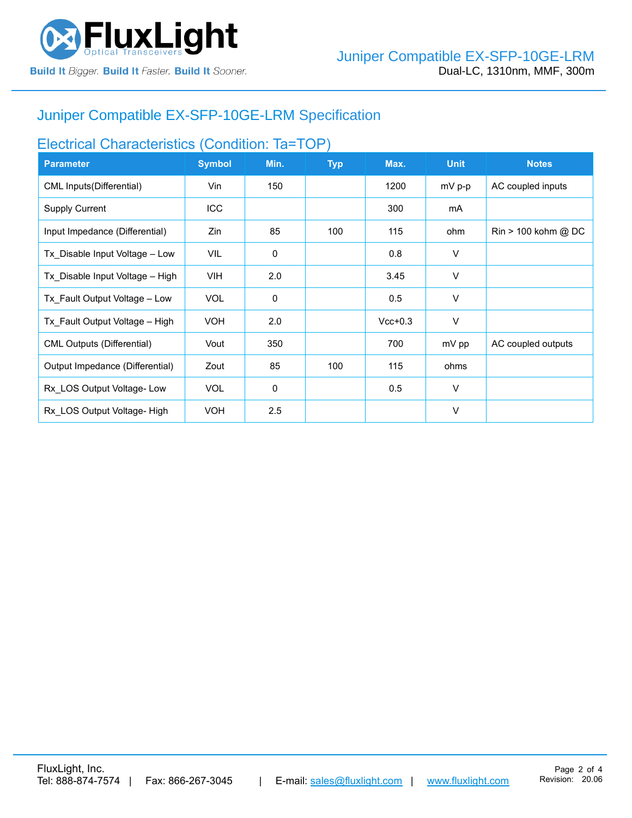

# Juniper Compatible [EX-SFP-10GE-LRM](https://www.fluxlight.com/ex-sfp-10ge-lrm/) Specification

## Electrical Characteristics (Condition: Ta=TOP)

| <b>Parameter</b>                  | <b>Symbol</b> | Min.        | <b>Typ</b> | Max.      | <b>Unit</b> | <b>Notes</b>                          |
|-----------------------------------|---------------|-------------|------------|-----------|-------------|---------------------------------------|
| CML Inputs (Differential)         | Vin           | 150         |            | 1200      | $mV$ p-p    | AC coupled inputs                     |
| <b>Supply Current</b>             | <b>ICC</b>    |             |            | 300       | mA          |                                       |
| Input Impedance (Differential)    | Zin           | 85          | 100        | 115       | ohm         | $\text{Rin} > 100 \text{ kohm } @$ DC |
| Tx Disable Input Voltage - Low    | VIL           | $\mathbf 0$ |            | 0.8       | V           |                                       |
| Tx Disable Input Voltage - High   | <b>VIH</b>    | 2.0         |            | 3.45      | V           |                                       |
| Tx Fault Output Voltage - Low     | <b>VOL</b>    | $\mathbf 0$ |            | 0.5       | V           |                                       |
| Tx Fault Output Voltage - High    | <b>VOH</b>    | 2.0         |            | $Vcc+0.3$ | V           |                                       |
| <b>CML Outputs (Differential)</b> | Vout          | 350         |            | 700       | mV pp       | AC coupled outputs                    |
| Output Impedance (Differential)   | Zout          | 85          | 100        | 115       | ohms        |                                       |
| Rx LOS Output Voltage-Low         | <b>VOL</b>    | 0           |            | 0.5       | $\vee$      |                                       |
| Rx LOS Output Voltage-High        | <b>VOH</b>    | 2.5         |            |           | $\vee$      |                                       |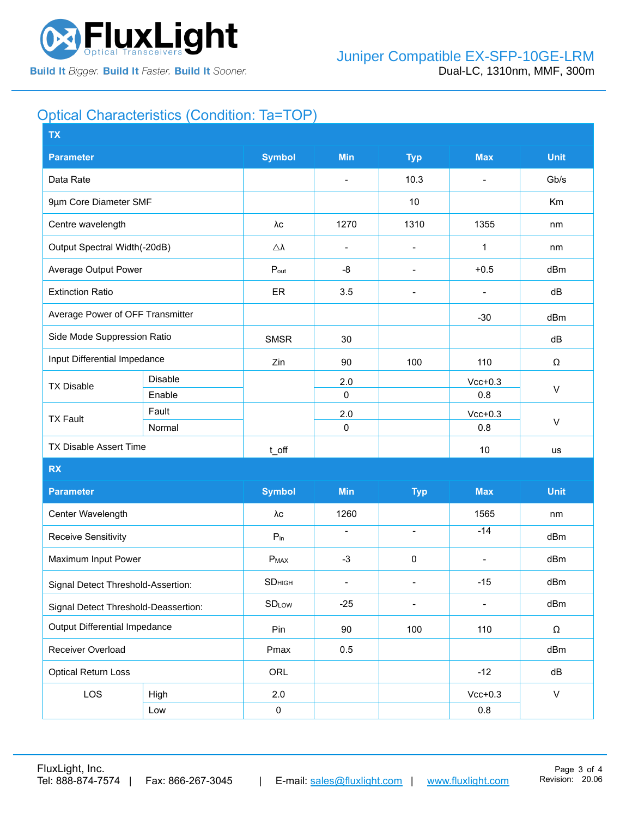

# Optical Characteristics (Condition: Ta=TOP)

| <b>TX</b>                            |         |                      |                          |                          |                              |              |  |
|--------------------------------------|---------|----------------------|--------------------------|--------------------------|------------------------------|--------------|--|
| <b>Parameter</b>                     |         | <b>Symbol</b>        | <b>Min</b>               | <b>Typ</b>               | <b>Max</b>                   | <b>Unit</b>  |  |
| Data Rate                            |         |                      | $\blacksquare$           | 10.3                     | $\overline{a}$               | Gb/s         |  |
| 9µm Core Diameter SMF                |         |                      |                          | 10                       |                              | Km           |  |
| Centre wavelength                    |         | λс                   | 1270                     | 1310                     | 1355                         | nm           |  |
| Output Spectral Width(-20dB)         |         | $\triangle\lambda$   | $\overline{\phantom{a}}$ | $\overline{\phantom{a}}$ | 1                            | nm           |  |
| Average Output Power                 |         | $P_{out}$            | -8                       | $\blacksquare$           | $+0.5$                       | dBm          |  |
| <b>Extinction Ratio</b>              |         | ER                   | 3.5                      | $\overline{\phantom{a}}$ |                              | dB           |  |
| Average Power of OFF Transmitter     |         |                      |                          |                          | $-30$                        | dBm          |  |
| Side Mode Suppression Ratio          |         | <b>SMSR</b>          | 30                       |                          |                              | dB           |  |
| Input Differential Impedance         |         | Zin                  | 90                       | 100                      | 110                          | Ω            |  |
| <b>TX Disable</b>                    | Disable |                      | 2.0                      |                          | $Vcc+0.3$                    | $\vee$       |  |
|                                      | Enable  |                      | $\mathbf 0$              |                          | 0.8                          |              |  |
| <b>TX Fault</b>                      | Fault   |                      | 2.0                      |                          | $Vcc+0.3$                    |              |  |
|                                      | Normal  |                      | $\mathbf 0$              |                          | 0.8                          | $\vee$       |  |
| TX Disable Assert Time               |         | $t$ <sub>_O</sub> ff |                          |                          | 10                           | us           |  |
| <b>RX</b>                            |         |                      |                          |                          |                              |              |  |
| <b>Parameter</b>                     |         | <b>Symbol</b>        | <b>Min</b>               | <b>Typ</b>               | <b>Max</b>                   | <b>Unit</b>  |  |
| Center Wavelength                    |         | λс                   | 1260                     |                          | 1565                         | nm           |  |
| Receive Sensitivity                  |         | $P_{in}$             | $\blacksquare$           | $\overline{\phantom{a}}$ | $-14$                        | dBm          |  |
| Maximum Input Power                  |         | $P_{MAX}$            | $-3$                     | $\pmb{0}$                | $\blacksquare$               | dBm          |  |
| Signal Detect Threshold-Assertion:   |         | <b>SD</b> HIGH       | $\blacksquare$           | $\overline{\phantom{a}}$ | $-15$                        | dBm          |  |
| Signal Detect Threshold-Deassertion: |         | <b>SDLow</b>         | $-25$                    | $\blacksquare$           | $\qquad \qquad \blacksquare$ | dBm          |  |
| Output Differential Impedance        |         | Pin                  | 90                       | 100                      | 110                          | Ω            |  |
| Receiver Overload                    |         | Pmax                 | 0.5                      |                          |                              | dBm          |  |
| <b>Optical Return Loss</b>           |         | ORL                  |                          |                          | $-12$                        | dB           |  |
| LOS                                  | High    | 2.0                  |                          |                          | $Vcc+0.3$                    | $\mathsf{V}$ |  |
|                                      | Low     | $\pmb{0}$            |                          |                          | $0.8\,$                      |              |  |